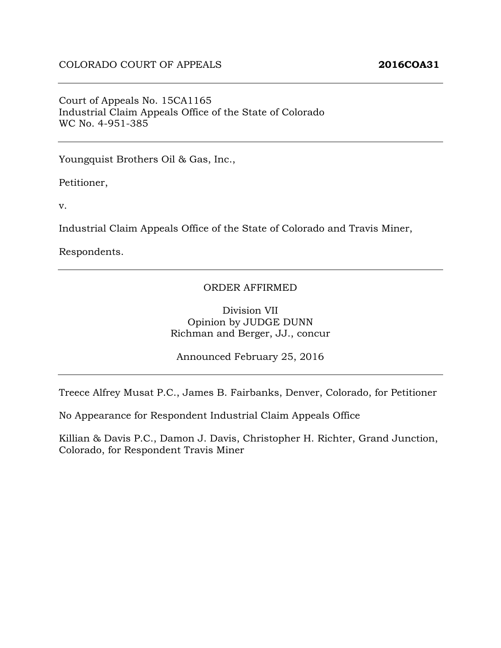Court of Appeals No. 15CA1165 Industrial Claim Appeals Office of the State of Colorado WC No. 4-951-385

Youngquist Brothers Oil & Gas, Inc.,

Petitioner,

v.

Industrial Claim Appeals Office of the State of Colorado and Travis Miner,

Respondents.

#### ORDER AFFIRMED

Division VII Opinion by JUDGE DUNN Richman and Berger, JJ., concur

Announced February 25, 2016

Treece Alfrey Musat P.C., James B. Fairbanks, Denver, Colorado, for Petitioner

No Appearance for Respondent Industrial Claim Appeals Office

Killian & Davis P.C., Damon J. Davis, Christopher H. Richter, Grand Junction, Colorado, for Respondent Travis Miner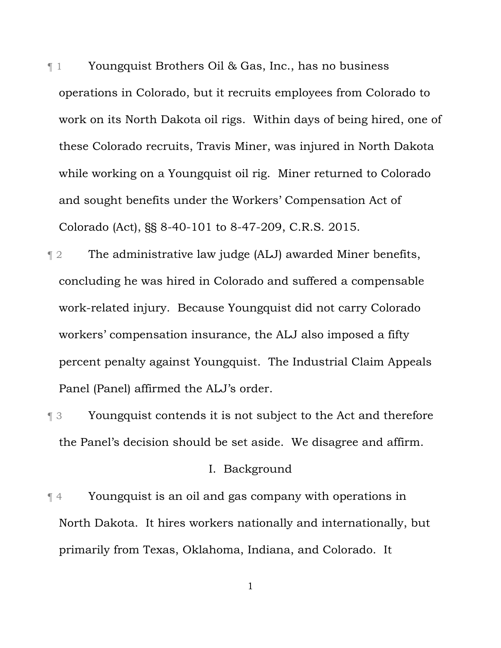- ¶ 1 Youngquist Brothers Oil & Gas, Inc., has no business operations in Colorado, but it recruits employees from Colorado to work on its North Dakota oil rigs. Within days of being hired, one of these Colorado recruits, Travis Miner, was injured in North Dakota while working on a Youngquist oil rig. Miner returned to Colorado and sought benefits under the Workers' Compensation Act of Colorado (Act), §§ 8-40-101 to 8-47-209, C.R.S. 2015.
- ¶ 2 The administrative law judge (ALJ) awarded Miner benefits, concluding he was hired in Colorado and suffered a compensable work-related injury. Because Youngquist did not carry Colorado workers' compensation insurance, the ALJ also imposed a fifty percent penalty against Youngquist. The Industrial Claim Appeals Panel (Panel) affirmed the ALJ's order.
- ¶ 3 Youngquist contends it is not subject to the Act and therefore the Panel's decision should be set aside. We disagree and affirm.

#### I. Background

¶ 4 Youngquist is an oil and gas company with operations in North Dakota. It hires workers nationally and internationally, but primarily from Texas, Oklahoma, Indiana, and Colorado. It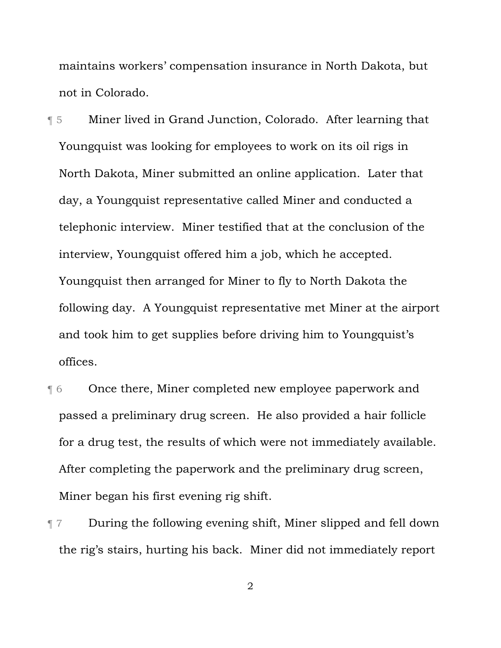maintains workers' compensation insurance in North Dakota, but not in Colorado.

¶ 5 Miner lived in Grand Junction, Colorado. After learning that Youngquist was looking for employees to work on its oil rigs in North Dakota, Miner submitted an online application. Later that day, a Youngquist representative called Miner and conducted a telephonic interview. Miner testified that at the conclusion of the interview, Youngquist offered him a job, which he accepted. Youngquist then arranged for Miner to fly to North Dakota the following day. A Youngquist representative met Miner at the airport and took him to get supplies before driving him to Youngquist's offices.

- ¶ 6 Once there, Miner completed new employee paperwork and passed a preliminary drug screen. He also provided a hair follicle for a drug test, the results of which were not immediately available. After completing the paperwork and the preliminary drug screen, Miner began his first evening rig shift.
- ¶ 7 During the following evening shift, Miner slipped and fell down the rig's stairs, hurting his back. Miner did not immediately report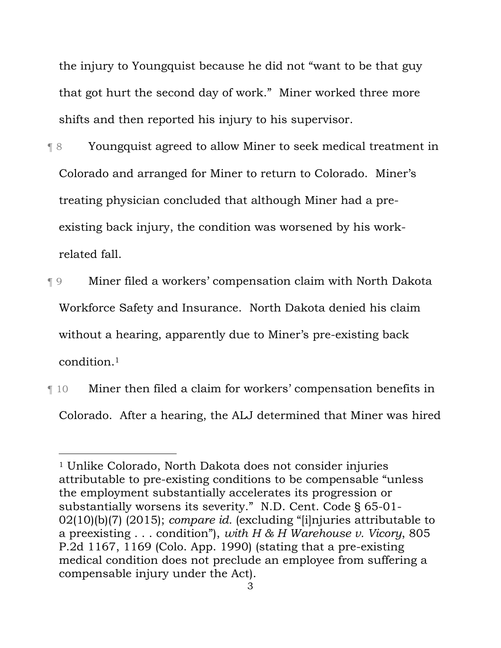the injury to Youngquist because he did not "want to be that guy that got hurt the second day of work." Miner worked three more shifts and then reported his injury to his supervisor.

- ¶ 8 Youngquist agreed to allow Miner to seek medical treatment in Colorado and arranged for Miner to return to Colorado. Miner's treating physician concluded that although Miner had a preexisting back injury, the condition was worsened by his workrelated fall.
- ¶ 9 Miner filed a workers' compensation claim with North Dakota Workforce Safety and Insurance. North Dakota denied his claim without a hearing, apparently due to Miner's pre-existing back condition.1
- ¶ 10 Miner then filed a claim for workers' compensation benefits in Colorado. After a hearing, the ALJ determined that Miner was hired

l

<sup>1</sup> Unlike Colorado, North Dakota does not consider injuries attributable to pre-existing conditions to be compensable "unless the employment substantially accelerates its progression or substantially worsens its severity." N.D. Cent. Code § 65-01- 02(10)(b)(7) (2015); *compare id.* (excluding "[i]njuries attributable to a preexisting . . . condition"), *with H & H Warehouse v. Vicory*, 805 P.2d 1167, 1169 (Colo. App. 1990) (stating that a pre-existing medical condition does not preclude an employee from suffering a compensable injury under the Act).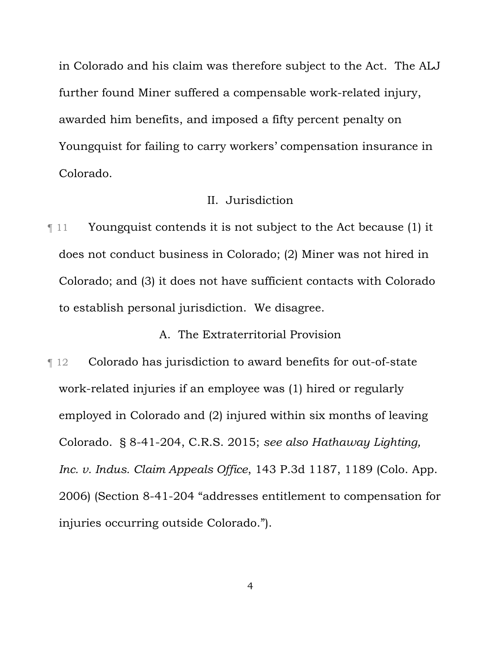in Colorado and his claim was therefore subject to the Act. The ALJ further found Miner suffered a compensable work-related injury, awarded him benefits, and imposed a fifty percent penalty on Youngquist for failing to carry workers' compensation insurance in Colorado.

# II. Jurisdiction

¶ 11 Youngquist contends it is not subject to the Act because (1) it does not conduct business in Colorado; (2) Miner was not hired in Colorado; and (3) it does not have sufficient contacts with Colorado to establish personal jurisdiction. We disagree.

A. The Extraterritorial Provision

¶ 12 Colorado has jurisdiction to award benefits for out-of-state work-related injuries if an employee was (1) hired or regularly employed in Colorado and (2) injured within six months of leaving Colorado. § 8-41-204, C.R.S. 2015; *see also Hathaway Lighting, Inc. v. Indus. Claim Appeals Office*, 143 P.3d 1187, 1189 (Colo. App. 2006) (Section 8-41-204 "addresses entitlement to compensation for injuries occurring outside Colorado.").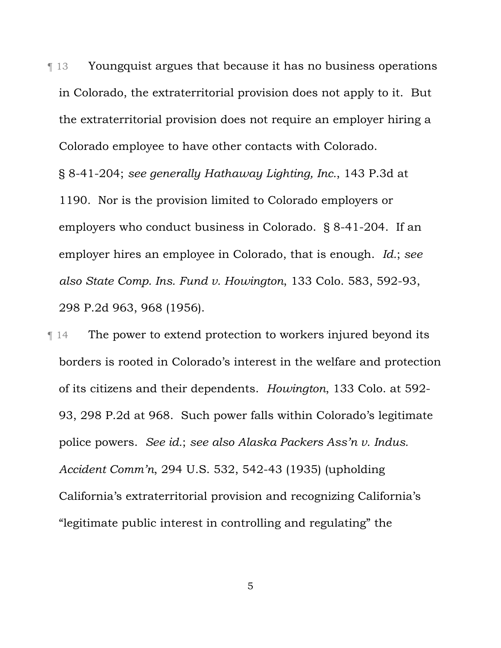¶ 13 Youngquist argues that because it has no business operations in Colorado, the extraterritorial provision does not apply to it. But the extraterritorial provision does not require an employer hiring a Colorado employee to have other contacts with Colorado.

§ 8-41-204; *see generally Hathaway Lighting, Inc.*, 143 P.3d at 1190*.* Nor is the provision limited to Colorado employers or employers who conduct business in Colorado. § 8-41-204. If an employer hires an employee in Colorado, that is enough. *Id.*; *see also State Comp. Ins. Fund v. Howington*, 133 Colo. 583, 592-93, 298 P.2d 963, 968 (1956).

¶ 14 The power to extend protection to workers injured beyond its borders is rooted in Colorado's interest in the welfare and protection of its citizens and their dependents. *Howington*, 133 Colo. at 592- 93, 298 P.2d at 968. Such power falls within Colorado's legitimate police powers. *See id.*; *see also Alaska Packers Ass'n v. Indus. Accident Comm'n*, 294 U.S. 532, 542-43 (1935) (upholding California's extraterritorial provision and recognizing California's "legitimate public interest in controlling and regulating" the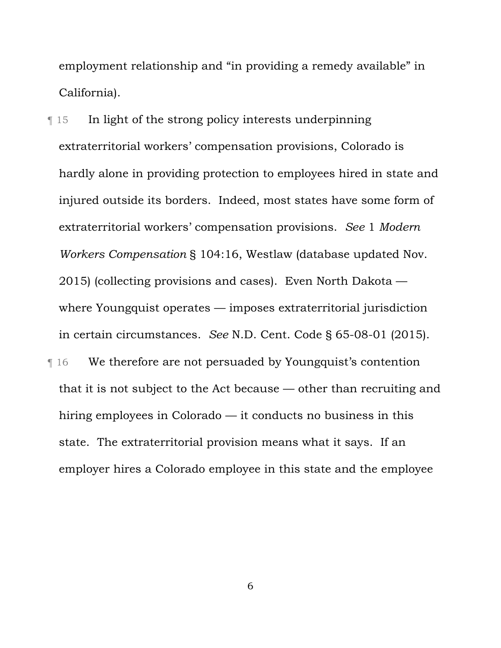employment relationship and "in providing a remedy available" in California).

¶ 15 In light of the strong policy interests underpinning extraterritorial workers' compensation provisions, Colorado is hardly alone in providing protection to employees hired in state and injured outside its borders. Indeed, most states have some form of extraterritorial workers' compensation provisions. *See* 1 *Modern Workers Compensation* § 104:16, Westlaw (database updated Nov. 2015) (collecting provisions and cases). Even North Dakota where Youngquist operates — imposes extraterritorial jurisdiction in certain circumstances. *See* N.D. Cent. Code § 65-08-01 (2015). **The UP** 16 We therefore are not persuaded by Youngquist's contention that it is not subject to the Act because — other than recruiting and hiring employees in Colorado — it conducts no business in this state. The extraterritorial provision means what it says. If an employer hires a Colorado employee in this state and the employee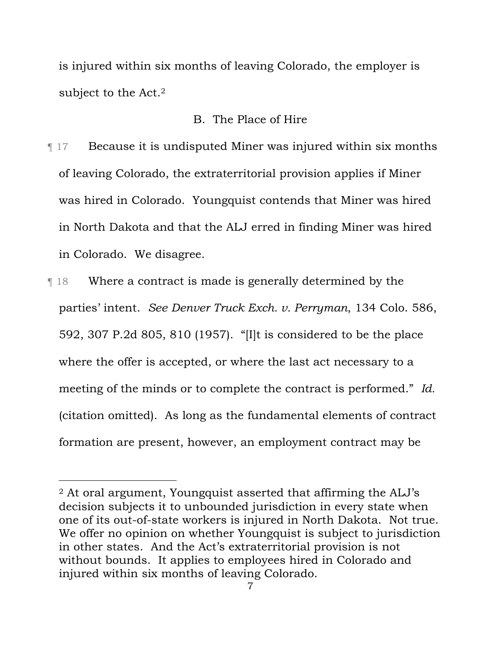is injured within six months of leaving Colorado, the employer is subject to the Act.2

### B. The Place of Hire

¶ 17 Because it is undisputed Miner was injured within six months of leaving Colorado, the extraterritorial provision applies if Miner was hired in Colorado. Youngquist contends that Miner was hired in North Dakota and that the ALJ erred in finding Miner was hired in Colorado. We disagree.

¶ 18 Where a contract is made is generally determined by the parties' intent. *See Denver Truck Exch. v. Perryman*, 134 Colo. 586, 592, 307 P.2d 805, 810 (1957). "[I]t is considered to be the place where the offer is accepted, or where the last act necessary to a meeting of the minds or to complete the contract is performed." *Id.* (citation omitted). As long as the fundamental elements of contract formation are present, however, an employment contract may be

 $\overline{a}$ 

<sup>2</sup> At oral argument, Youngquist asserted that affirming the ALJ's decision subjects it to unbounded jurisdiction in every state when one of its out-of-state workers is injured in North Dakota. Not true. We offer no opinion on whether Youngquist is subject to jurisdiction in other states. And the Act's extraterritorial provision is not without bounds. It applies to employees hired in Colorado and injured within six months of leaving Colorado.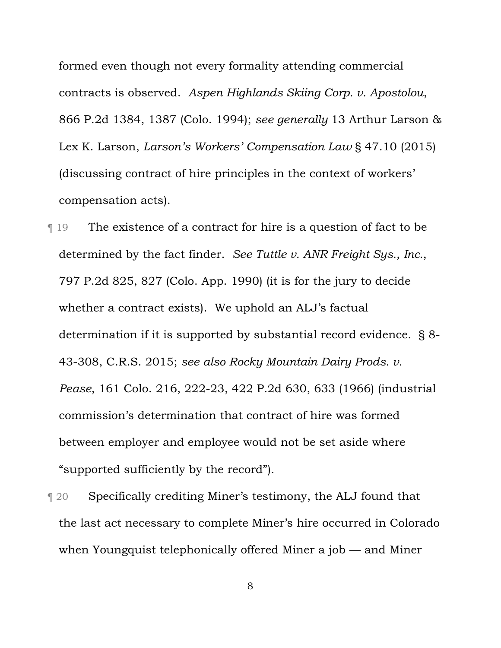formed even though not every formality attending commercial contracts is observed. *Aspen Highlands Skiing Corp. v. Apostolou*, 866 P.2d 1384, 1387 (Colo. 1994); *see generally* 13 Arthur Larson & Lex K. Larson, *Larson's Workers' Compensation Law* § 47.10 (2015) (discussing contract of hire principles in the context of workers' compensation acts).

¶ 19 The existence of a contract for hire is a question of fact to be determined by the fact finder. *See Tuttle v. ANR Freight Sys., Inc.*, 797 P.2d 825, 827 (Colo. App. 1990) (it is for the jury to decide whether a contract exists). We uphold an ALJ's factual determination if it is supported by substantial record evidence. § 8- 43-308, C.R.S. 2015; *see also Rocky Mountain Dairy Prods. v. Pease*, 161 Colo. 216, 222-23, 422 P.2d 630, 633 (1966) (industrial commission's determination that contract of hire was formed between employer and employee would not be set aside where "supported sufficiently by the record").

¶ 20 Specifically crediting Miner's testimony, the ALJ found that the last act necessary to complete Miner's hire occurred in Colorado when Youngquist telephonically offered Miner a job — and Miner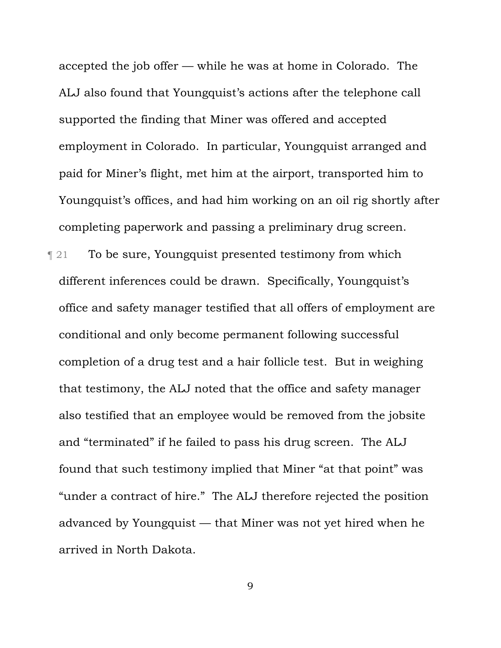accepted the job offer — while he was at home in Colorado. The ALJ also found that Youngquist's actions after the telephone call supported the finding that Miner was offered and accepted employment in Colorado. In particular, Youngquist arranged and paid for Miner's flight, met him at the airport, transported him to Youngquist's offices, and had him working on an oil rig shortly after completing paperwork and passing a preliminary drug screen.

¶ 21 To be sure, Youngquist presented testimony from which different inferences could be drawn. Specifically, Youngquist's office and safety manager testified that all offers of employment are conditional and only become permanent following successful completion of a drug test and a hair follicle test. But in weighing that testimony, the ALJ noted that the office and safety manager also testified that an employee would be removed from the jobsite and "terminated" if he failed to pass his drug screen. The ALJ found that such testimony implied that Miner "at that point" was "under a contract of hire." The ALJ therefore rejected the position advanced by Youngquist — that Miner was not yet hired when he arrived in North Dakota.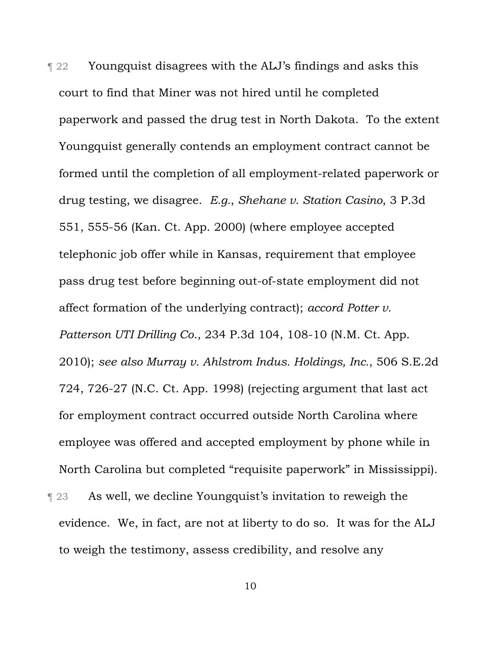**Term 22** Youngquist disagrees with the ALJ's findings and asks this court to find that Miner was not hired until he completed paperwork and passed the drug test in North Dakota. To the extent Youngquist generally contends an employment contract cannot be formed until the completion of all employment-related paperwork or drug testing, we disagree. *E.g.*, *Shehane v. Station Casino*, 3 P.3d 551, 555-56 (Kan. Ct. App. 2000) (where employee accepted telephonic job offer while in Kansas, requirement that employee pass drug test before beginning out-of-state employment did not affect formation of the underlying contract); *accord Potter v. Patterson UTI Drilling Co*., 234 P.3d 104, 108-10 (N.M. Ct. App. 2010); *see also Murray v. Ahlstrom Indus. Holdings, Inc.*, 506 S.E.2d 724, 726-27 (N.C. Ct. App. 1998) (rejecting argument that last act for employment contract occurred outside North Carolina where employee was offered and accepted employment by phone while in North Carolina but completed "requisite paperwork" in Mississippi). **Term 23** As well, we decline Youngquist's invitation to reweigh the evidence. We, in fact, are not at liberty to do so. It was for the ALJ

to weigh the testimony, assess credibility, and resolve any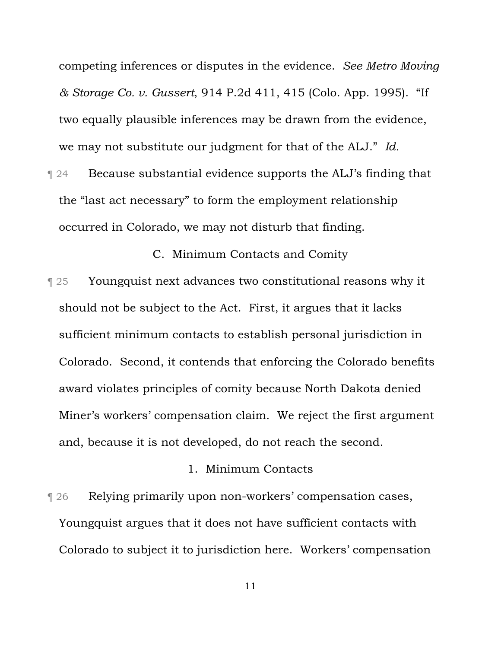competing inferences or disputes in the evidence. *See Metro Moving & Storage Co. v. Gussert*, 914 P.2d 411, 415 (Colo. App. 1995). "If two equally plausible inferences may be drawn from the evidence, we may not substitute our judgment for that of the ALJ." *Id.*

¶ 24 Because substantial evidence supports the ALJ's finding that the "last act necessary" to form the employment relationship occurred in Colorado, we may not disturb that finding.

C. Minimum Contacts and Comity

¶ 25 Youngquist next advances two constitutional reasons why it should not be subject to the Act. First, it argues that it lacks sufficient minimum contacts to establish personal jurisdiction in Colorado. Second, it contends that enforcing the Colorado benefits award violates principles of comity because North Dakota denied Miner's workers' compensation claim. We reject the first argument and, because it is not developed, do not reach the second.

# 1. Minimum Contacts

¶ 26 Relying primarily upon non-workers' compensation cases, Youngquist argues that it does not have sufficient contacts with Colorado to subject it to jurisdiction here. Workers' compensation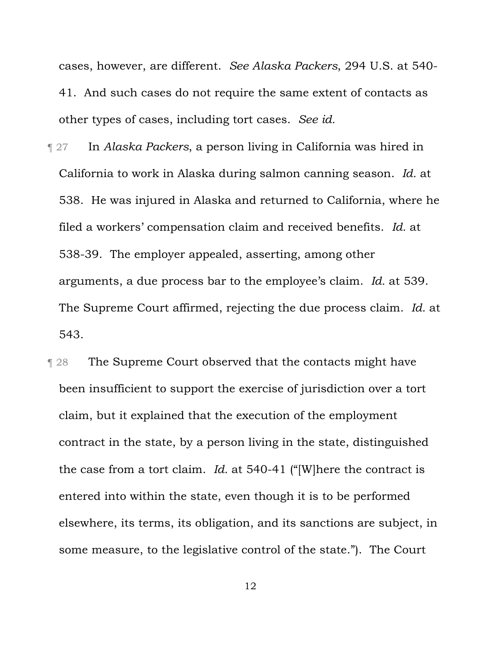cases, however, are different. *See Alaska Packers*, 294 U.S. at 540- 41. And such cases do not require the same extent of contacts as other types of cases, including tort cases. *See id.* 

- ¶ 27 In *Alaska Packers*, a person living in California was hired in California to work in Alaska during salmon canning season. *Id.* at 538. He was injured in Alaska and returned to California, where he filed a workers' compensation claim and received benefits. *Id.* at 538-39. The employer appealed, asserting, among other arguments, a due process bar to the employee's claim. *Id.* at 539. The Supreme Court affirmed, rejecting the due process claim. *Id.* at 543.
- **The Supreme Court observed that the contacts might have** been insufficient to support the exercise of jurisdiction over a tort claim, but it explained that the execution of the employment contract in the state, by a person living in the state, distinguished the case from a tort claim. *Id.* at 540-41 ("[W]here the contract is entered into within the state, even though it is to be performed elsewhere, its terms, its obligation, and its sanctions are subject, in some measure, to the legislative control of the state."). The Court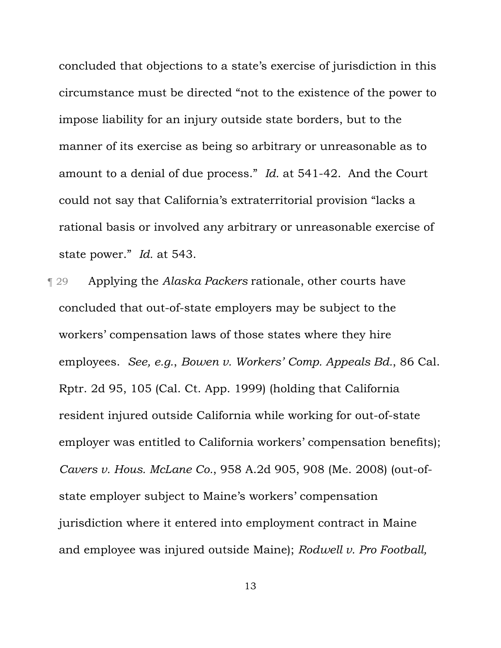concluded that objections to a state's exercise of jurisdiction in this circumstance must be directed "not to the existence of the power to impose liability for an injury outside state borders, but to the manner of its exercise as being so arbitrary or unreasonable as to amount to a denial of due process." *Id.* at 541-42.And the Court could not say that California's extraterritorial provision "lacks a rational basis or involved any arbitrary or unreasonable exercise of state power." *Id.* at 543.

¶ 29 Applying the *Alaska Packers* rationale, other courts have concluded that out-of-state employers may be subject to the workers' compensation laws of those states where they hire employees. *See, e.g.*, *Bowen v. Workers' Comp. Appeals Bd.*, 86 Cal. Rptr. 2d 95, 105 (Cal. Ct. App. 1999) (holding that California resident injured outside California while working for out-of-state employer was entitled to California workers' compensation benefits); *Cavers v. Hous. McLane Co.*, 958 A.2d 905, 908 (Me. 2008) (out-ofstate employer subject to Maine's workers' compensation jurisdiction where it entered into employment contract in Maine and employee was injured outside Maine); *Rodwell v. Pro Football,*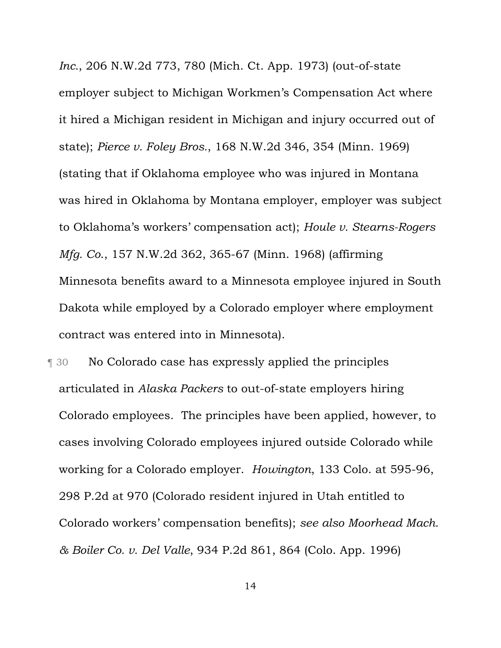*Inc.*, 206 N.W.2d 773, 780 (Mich. Ct. App. 1973) (out-of-state employer subject to Michigan Workmen's Compensation Act where it hired a Michigan resident in Michigan and injury occurred out of state); *Pierce v. Foley Bros.*, 168 N.W.2d 346, 354 (Minn. 1969) (stating that if Oklahoma employee who was injured in Montana was hired in Oklahoma by Montana employer, employer was subject to Oklahoma's workers' compensation act); *Houle v. Stearns-Rogers Mfg. Co*., 157 N.W.2d 362, 365-67 (Minn. 1968) (affirming Minnesota benefits award to a Minnesota employee injured in South Dakota while employed by a Colorado employer where employment contract was entered into in Minnesota).

¶ 30 No Colorado case has expressly applied the principles articulated in *Alaska Packers* to out-of-state employers hiring Colorado employees. The principles have been applied, however, to cases involving Colorado employees injured outside Colorado while working for a Colorado employer. *Howington*, 133 Colo. at 595-96, 298 P.2d at 970 (Colorado resident injured in Utah entitled to Colorado workers' compensation benefits); *see also Moorhead Mach. & Boiler Co. v. Del Valle*, 934 P.2d 861, 864 (Colo. App. 1996)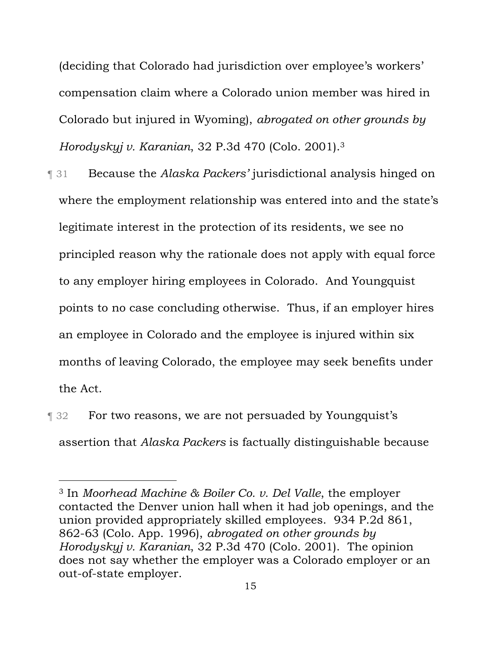(deciding that Colorado had jurisdiction over employee's workers' compensation claim where a Colorado union member was hired in Colorado but injured in Wyoming), *abrogated on other grounds by Horodyskyj v. Karanian*, 32 P.3d 470 (Colo. 2001).3

- ¶ 31 Because the *Alaska Packers'* jurisdictional analysis hinged on where the employment relationship was entered into and the state's legitimate interest in the protection of its residents, we see no principled reason why the rationale does not apply with equal force to any employer hiring employees in Colorado. And Youngquist points to no case concluding otherwise. Thus, if an employer hires an employee in Colorado and the employee is injured within six months of leaving Colorado, the employee may seek benefits under the Act.
- **T** 32 For two reasons, we are not persuaded by Youngquist's assertion that *Alaska Packers* is factually distinguishable because

l

<sup>3</sup> In *Moorhead Machine & Boiler Co. v. Del Valle*, the employer contacted the Denver union hall when it had job openings, and the union provided appropriately skilled employees. 934 P.2d 861, 862-63 (Colo. App. 1996), *abrogated on other grounds by Horodyskyj v. Karanian*, 32 P.3d 470 (Colo. 2001). The opinion does not say whether the employer was a Colorado employer or an out-of-state employer.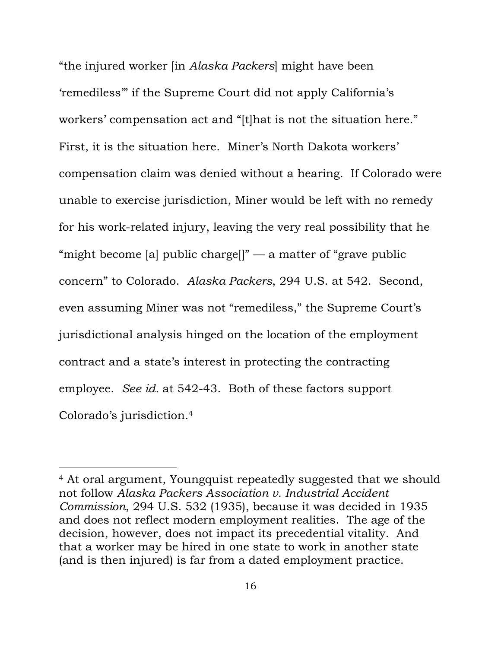"the injured worker [in *Alaska Packers*] might have been 'remediless'" if the Supreme Court did not apply California's workers' compensation act and "[t]hat is not the situation here." First, it is the situation here. Miner's North Dakota workers' compensation claim was denied without a hearing. If Colorado were unable to exercise jurisdiction, Miner would be left with no remedy for his work-related injury, leaving the very real possibility that he "might become [a] public charge<sup>[]"</sup> — a matter of "grave public" concern" to Colorado. *Alaska Packers*, 294 U.S. at 542. Second, even assuming Miner was not "remediless," the Supreme Court's jurisdictional analysis hinged on the location of the employment contract and a state's interest in protecting the contracting employee. *See id.* at 542-43. Both of these factors support Colorado's jurisdiction.4

l

<sup>4</sup> At oral argument, Youngquist repeatedly suggested that we should not follow *Alaska Packers Association v. Industrial Accident Commission*, 294 U.S. 532 (1935), because it was decided in 1935 and does not reflect modern employment realities. The age of the decision, however, does not impact its precedential vitality. And that a worker may be hired in one state to work in another state (and is then injured) is far from a dated employment practice.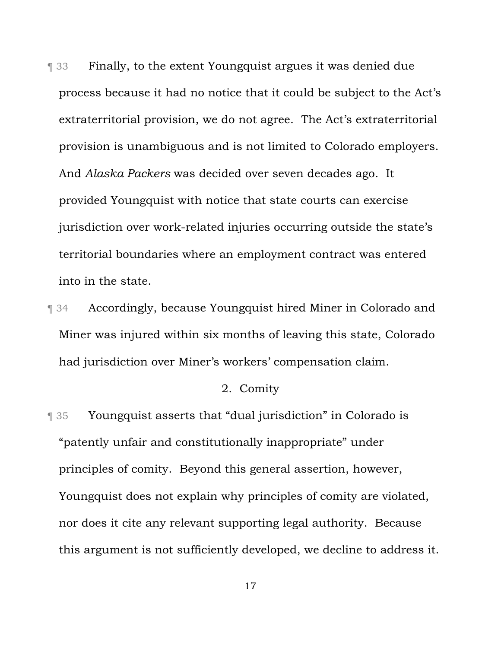¶ 33 Finally, to the extent Youngquist argues it was denied due process because it had no notice that it could be subject to the Act's extraterritorial provision, we do not agree. The Act's extraterritorial provision is unambiguous and is not limited to Colorado employers. And *Alaska Packers* was decided over seven decades ago. It provided Youngquist with notice that state courts can exercise jurisdiction over work-related injuries occurring outside the state's territorial boundaries where an employment contract was entered into in the state.

¶ 34 Accordingly, because Youngquist hired Miner in Colorado and Miner was injured within six months of leaving this state, Colorado had jurisdiction over Miner's workers' compensation claim.

### 2. Comity

¶ 35 Youngquist asserts that "dual jurisdiction" in Colorado is "patently unfair and constitutionally inappropriate" under principles of comity. Beyond this general assertion, however, Youngquist does not explain why principles of comity are violated, nor does it cite any relevant supporting legal authority. Because this argument is not sufficiently developed, we decline to address it.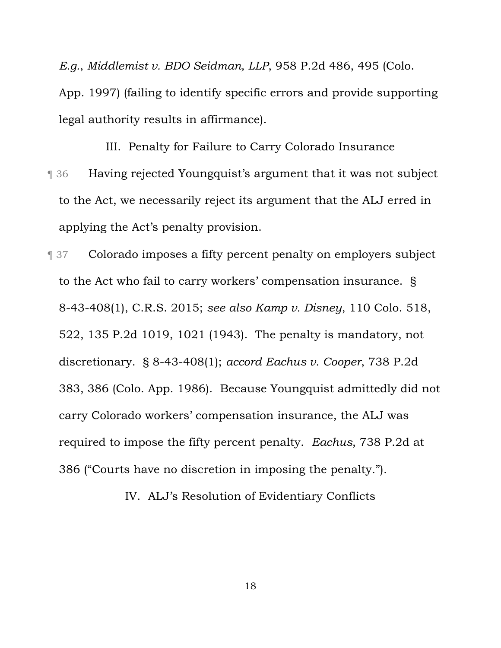*E.g.*, *Middlemist v. BDO Seidman, LLP*, 958 P.2d 486, 495 (Colo.

App. 1997) (failing to identify specific errors and provide supporting legal authority results in affirmance).

III. Penalty for Failure to Carry Colorado Insurance ¶ 36 Having rejected Youngquist's argument that it was not subject to the Act, we necessarily reject its argument that the ALJ erred in applying the Act's penalty provision.

¶ 37 Colorado imposes a fifty percent penalty on employers subject to the Act who fail to carry workers' compensation insurance. § 8-43-408(1), C.R.S. 2015; *see also Kamp v. Disney*, 110 Colo. 518, 522, 135 P.2d 1019, 1021 (1943). The penalty is mandatory, not discretionary. § 8-43-408(1); *accord Eachus v. Cooper*, 738 P.2d 383, 386 (Colo. App. 1986). Because Youngquist admittedly did not carry Colorado workers' compensation insurance, the ALJ was required to impose the fifty percent penalty. *Eachus*, 738 P.2d at 386 ("Courts have no discretion in imposing the penalty.").

IV. ALJ's Resolution of Evidentiary Conflicts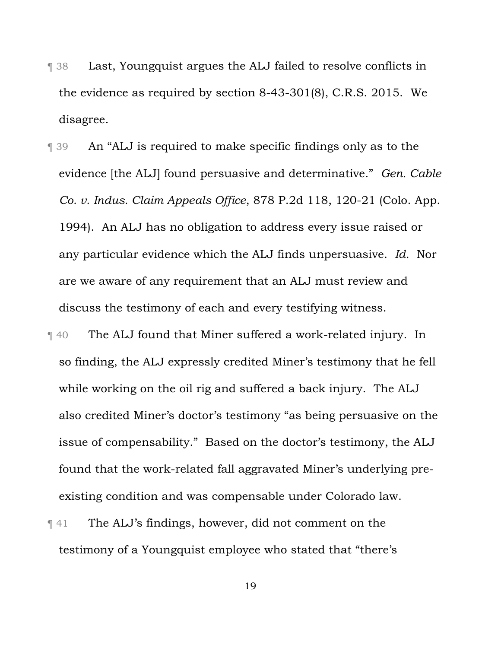- ¶ 38 Last, Youngquist argues the ALJ failed to resolve conflicts in the evidence as required by section 8-43-301(8), C.R.S. 2015. We disagree.
- ¶ 39 An "ALJ is required to make specific findings only as to the evidence [the ALJ] found persuasive and determinative." *Gen. Cable Co. v. Indus. Claim Appeals Office*, 878 P.2d 118, 120-21 (Colo. App. 1994). An ALJ has no obligation to address every issue raised or any particular evidence which the ALJ finds unpersuasive. *Id.* Nor are we aware of any requirement that an ALJ must review and discuss the testimony of each and every testifying witness.
- ¶ 40 The ALJ found that Miner suffered a work-related injury. In so finding, the ALJ expressly credited Miner's testimony that he fell while working on the oil rig and suffered a back injury. The ALJ also credited Miner's doctor's testimony "as being persuasive on the issue of compensability." Based on the doctor's testimony, the ALJ found that the work-related fall aggravated Miner's underlying preexisting condition and was compensable under Colorado law.
- ¶ 41 The ALJ's findings, however, did not comment on the testimony of a Youngquist employee who stated that "there's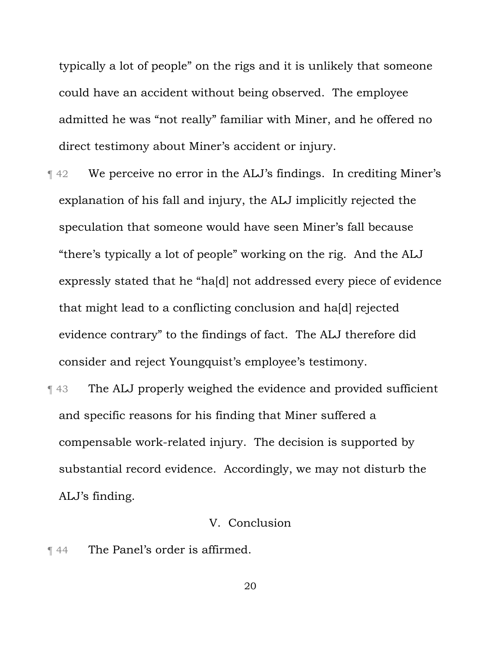typically a lot of people" on the rigs and it is unlikely that someone could have an accident without being observed. The employee admitted he was "not really" familiar with Miner, and he offered no direct testimony about Miner's accident or injury.

- ¶ 42 We perceive no error in the ALJ's findings. In crediting Miner's explanation of his fall and injury, the ALJ implicitly rejected the speculation that someone would have seen Miner's fall because "there's typically a lot of people" working on the rig. And the ALJ expressly stated that he "ha[d] not addressed every piece of evidence that might lead to a conflicting conclusion and ha[d] rejected evidence contrary" to the findings of fact. The ALJ therefore did consider and reject Youngquist's employee's testimony.
- ¶ 43 The ALJ properly weighed the evidence and provided sufficient and specific reasons for his finding that Miner suffered a compensable work-related injury. The decision is supported by substantial record evidence. Accordingly, we may not disturb the ALJ's finding.

# V. Conclusion

¶ 44 The Panel's order is affirmed.